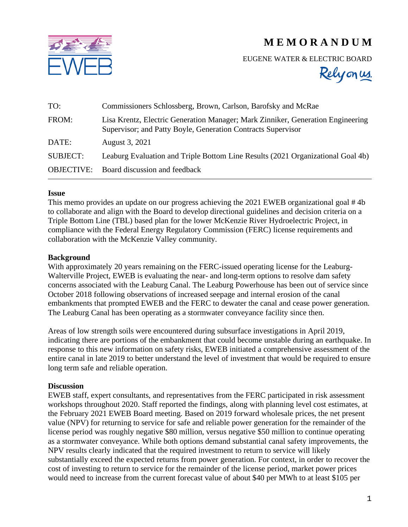



EUGENE WATER & ELECTRIC BOARD

Relyonus.

| TO:               | Commissioners Schlossberg, Brown, Carlson, Barofsky and McRae                                                                                   |
|-------------------|-------------------------------------------------------------------------------------------------------------------------------------------------|
| FROM:             | Lisa Krentz, Electric Generation Manager; Mark Zinniker, Generation Engineering<br>Supervisor; and Patty Boyle, Generation Contracts Supervisor |
| DATE:             | August 3, 2021                                                                                                                                  |
| <b>SUBJECT:</b>   | Leaburg Evaluation and Triple Bottom Line Results (2021 Organizational Goal 4b)                                                                 |
| <b>OBJECTIVE:</b> | Board discussion and feedback                                                                                                                   |

## **Issue**

This memo provides an update on our progress achieving the 2021 EWEB organizational goal # 4b to collaborate and align with the Board to develop directional guidelines and decision criteria on a Triple Bottom Line (TBL) based plan for the lower McKenzie River Hydroelectric Project, in compliance with the Federal Energy Regulatory Commission (FERC) license requirements and collaboration with the McKenzie Valley community.

## **Background**

With approximately 20 years remaining on the FERC-issued operating license for the Leaburg-Walterville Project, EWEB is evaluating the near- and long-term options to resolve dam safety concerns associated with the Leaburg Canal. The Leaburg Powerhouse has been out of service since October 2018 following observations of increased seepage and internal erosion of the canal embankments that prompted EWEB and the FERC to dewater the canal and cease power generation. The Leaburg Canal has been operating as a stormwater conveyance facility since then.

Areas of low strength soils were encountered during subsurface investigations in April 2019, indicating there are portions of the embankment that could become unstable during an earthquake. In response to this new information on safety risks, EWEB initiated a comprehensive assessment of the entire canal in late 2019 to better understand the level of investment that would be required to ensure long term safe and reliable operation.

## **Discussion**

EWEB staff, expert consultants, and representatives from the FERC participated in risk assessment workshops throughout 2020. Staff reported the findings, along with planning level cost estimates, at the February 2021 EWEB Board meeting. Based on 2019 forward wholesale prices, the net present value (NPV) for returning to service for safe and reliable power generation for the remainder of the license period was roughly negative \$80 million, versus negative \$50 million to continue operating as a stormwater conveyance. While both options demand substantial canal safety improvements, the NPV results clearly indicated that the required investment to return to service will likely substantially exceed the expected returns from power generation. For context, in order to recover the cost of investing to return to service for the remainder of the license period, market power prices would need to increase from the current forecast value of about \$40 per MWh to at least \$105 per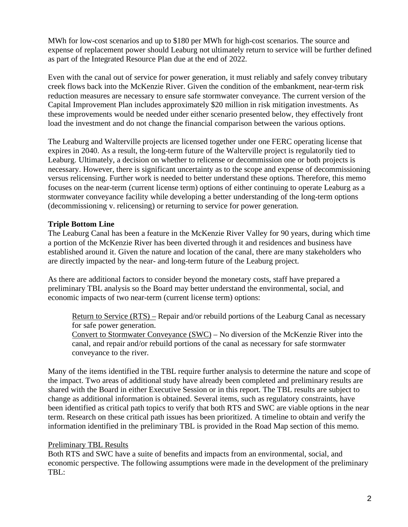MWh for low-cost scenarios and up to \$180 per MWh for high-cost scenarios. The source and expense of replacement power should Leaburg not ultimately return to service will be further defined as part of the Integrated Resource Plan due at the end of 2022.

Even with the canal out of service for power generation, it must reliably and safely convey tributary creek flows back into the McKenzie River. Given the condition of the embankment, near-term risk reduction measures are necessary to ensure safe stormwater conveyance. The current version of the Capital Improvement Plan includes approximately \$20 million in risk mitigation investments. As these improvements would be needed under either scenario presented below, they effectively front load the investment and do not change the financial comparison between the various options.

The Leaburg and Walterville projects are licensed together under one FERC operating license that expires in 2040. As a result, the long-term future of the Walterville project is regulatorily tied to Leaburg. Ultimately, a decision on whether to relicense or decommission one or both projects is necessary. However, there is significant uncertainty as to the scope and expense of decommissioning versus relicensing. Further work is needed to better understand these options. Therefore, this memo focuses on the near-term (current license term) options of either continuing to operate Leaburg as a stormwater conveyance facility while developing a better understanding of the long-term options (decommissioning v. relicensing) or returning to service for power generation.

# **Triple Bottom Line**

The Leaburg Canal has been a feature in the McKenzie River Valley for 90 years, during which time a portion of the McKenzie River has been diverted through it and residences and business have established around it. Given the nature and location of the canal, there are many stakeholders who are directly impacted by the near- and long-term future of the Leaburg project.

As there are additional factors to consider beyond the monetary costs, staff have prepared a preliminary TBL analysis so the Board may better understand the environmental, social, and economic impacts of two near-term (current license term) options:

Return to Service (RTS) – Repair and/or rebuild portions of the Leaburg Canal as necessary for safe power generation.

Convert to Stormwater Conveyance (SWC) – No diversion of the McKenzie River into the canal, and repair and/or rebuild portions of the canal as necessary for safe stormwater conveyance to the river.

Many of the items identified in the TBL require further analysis to determine the nature and scope of the impact. Two areas of additional study have already been completed and preliminary results are shared with the Board in either Executive Session or in this report. The TBL results are subject to change as additional information is obtained. Several items, such as regulatory constraints, have been identified as critical path topics to verify that both RTS and SWC are viable options in the near term. Research on these critical path issues has been prioritized. A timeline to obtain and verify the information identified in the preliminary TBL is provided in the Road Map section of this memo.

# Preliminary TBL Results

Both RTS and SWC have a suite of benefits and impacts from an environmental, social, and economic perspective. The following assumptions were made in the development of the preliminary TBL: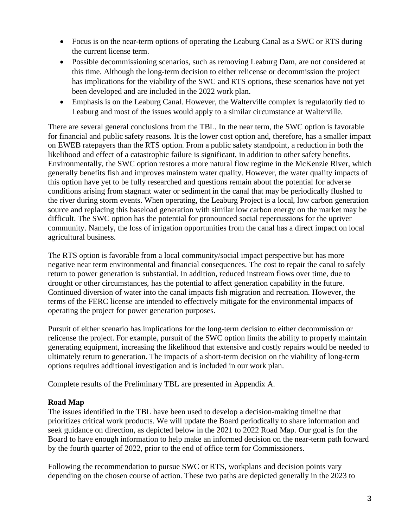- Focus is on the near-term options of operating the Leaburg Canal as a SWC or RTS during the current license term.
- Possible decommissioning scenarios, such as removing Leaburg Dam, are not considered at this time. Although the long-term decision to either relicense or decommission the project has implications for the viability of the SWC and RTS options, these scenarios have not yet been developed and are included in the 2022 work plan.
- Emphasis is on the Leaburg Canal. However, the Walterville complex is regulatorily tied to Leaburg and most of the issues would apply to a similar circumstance at Walterville.

There are several general conclusions from the TBL. In the near term, the SWC option is favorable for financial and public safety reasons. It is the lower cost option and, therefore, has a smaller impact on EWEB ratepayers than the RTS option. From a public safety standpoint, a reduction in both the likelihood and effect of a catastrophic failure is significant, in addition to other safety benefits. Environmentally, the SWC option restores a more natural flow regime in the McKenzie River, which generally benefits fish and improves mainstem water quality. However, the water quality impacts of this option have yet to be fully researched and questions remain about the potential for adverse conditions arising from stagnant water or sediment in the canal that may be periodically flushed to the river during storm events. When operating, the Leaburg Project is a local, low carbon generation source and replacing this baseload generation with similar low carbon energy on the market may be difficult. The SWC option has the potential for pronounced social repercussions for the upriver community. Namely, the loss of irrigation opportunities from the canal has a direct impact on local agricultural business.

The RTS option is favorable from a local community/social impact perspective but has more negative near term environmental and financial consequences. The cost to repair the canal to safely return to power generation is substantial. In addition, reduced instream flows over time, due to drought or other circumstances, has the potential to affect generation capability in the future. Continued diversion of water into the canal impacts fish migration and recreation. However, the terms of the FERC license are intended to effectively mitigate for the environmental impacts of operating the project for power generation purposes.

Pursuit of either scenario has implications for the long-term decision to either decommission or relicense the project. For example, pursuit of the SWC option limits the ability to properly maintain generating equipment, increasing the likelihood that extensive and costly repairs would be needed to ultimately return to generation. The impacts of a short-term decision on the viability of long-term options requires additional investigation and is included in our work plan.

Complete results of the Preliminary TBL are presented in Appendix A.

# **Road Map**

The issues identified in the TBL have been used to develop a decision-making timeline that prioritizes critical work products. We will update the Board periodically to share information and seek guidance on direction, as depicted below in the 2021 to 2022 Road Map. Our goal is for the Board to have enough information to help make an informed decision on the near-term path forward by the fourth quarter of 2022, prior to the end of office term for Commissioners.

Following the recommendation to pursue SWC or RTS, workplans and decision points vary depending on the chosen course of action. These two paths are depicted generally in the 2023 to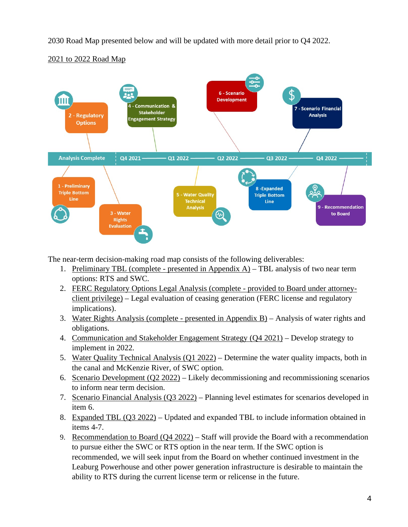2030 Road Map presented below and will be updated with more detail prior to Q4 2022.



# 2021 to 2022 Road Map

The near-term decision-making road map consists of the following deliverables:

- 1. Preliminary TBL (complete presented in Appendix A) TBL analysis of two near term options: RTS and SWC.
- 2. FERC Regulatory Options Legal Analysis (complete provided to Board under attorneyclient privilege) – Legal evaluation of ceasing generation (FERC license and regulatory implications).
- 3. Water Rights Analysis (complete presented in Appendix B) Analysis of water rights and obligations.
- 4. Communication and Stakeholder Engagement Strategy (Q4 2021) Develop strategy to implement in 2022.
- 5. Water Quality Technical Analysis (Q1 2022) Determine the water quality impacts, both in the canal and McKenzie River, of SWC option.
- 6. Scenario Development (Q2 2022) Likely decommissioning and recommissioning scenarios to inform near term decision.
- 7. Scenario Financial Analysis (Q3 2022) Planning level estimates for scenarios developed in item 6.
- 8. Expanded TBL (Q3 2022) Updated and expanded TBL to include information obtained in items 4-7.
- 9. Recommendation to Board  $(Q4 2022)$  Staff will provide the Board with a recommendation to pursue either the SWC or RTS option in the near term. If the SWC option is recommended, we will seek input from the Board on whether continued investment in the Leaburg Powerhouse and other power generation infrastructure is desirable to maintain the ability to RTS during the current license term or relicense in the future.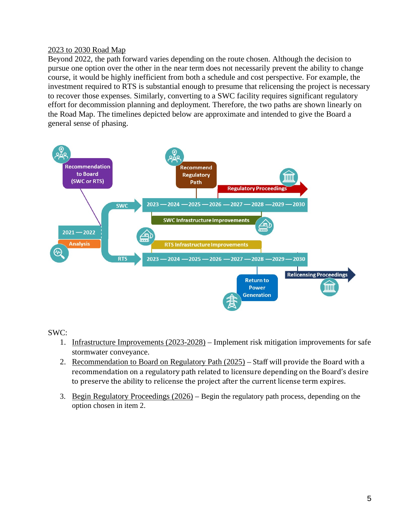# 2023 to 2030 Road Map

Beyond 2022, the path forward varies depending on the route chosen. Although the decision to pursue one option over the other in the near term does not necessarily prevent the ability to change course, it would be highly inefficient from both a schedule and cost perspective. For example, the investment required to RTS is substantial enough to presume that relicensing the project is necessary to recover those expenses. Similarly, converting to a SWC facility requires significant regulatory effort for decommission planning and deployment. Therefore, the two paths are shown linearly on the Road Map. The timelines depicted below are approximate and intended to give the Board a general sense of phasing.



SWC:

- 1. Infrastructure Improvements (2023-2028) Implement risk mitigation improvements for safe stormwater conveyance.
- 2. Recommendation to Board on Regulatory Path (2025) Staff will provide the Board with a recommendation on a regulatory path related to licensure depending on the Board's desire to preserve the ability to relicense the project after the current license term expires.
- 3. Begin Regulatory Proceedings (2026) Begin the regulatory path process, depending on the option chosen in item 2.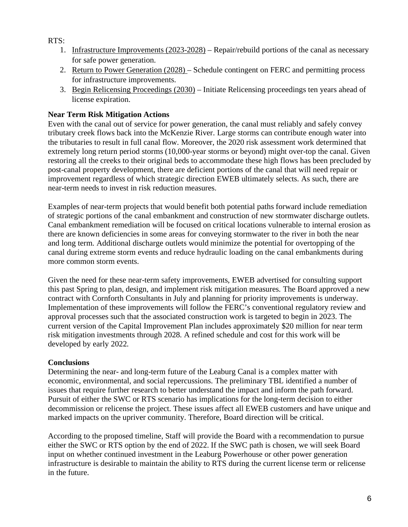RTS:

- 1. Infrastructure Improvements (2023-2028) Repair/rebuild portions of the canal as necessary for safe power generation.
- 2. Return to Power Generation (2028) Schedule contingent on FERC and permitting process for infrastructure improvements.
- 3. Begin Relicensing Proceedings (2030) Initiate Relicensing proceedings ten years ahead of license expiration.

# **Near Term Risk Mitigation Actions**

Even with the canal out of service for power generation, the canal must reliably and safely convey tributary creek flows back into the McKenzie River. Large storms can contribute enough water into the tributaries to result in full canal flow. Moreover, the 2020 risk assessment work determined that extremely long return period storms (10,000-year storms or beyond) might over-top the canal. Given restoring all the creeks to their original beds to accommodate these high flows has been precluded by post-canal property development, there are deficient portions of the canal that will need repair or improvement regardless of which strategic direction EWEB ultimately selects. As such, there are near-term needs to invest in risk reduction measures.

Examples of near-term projects that would benefit both potential paths forward include remediation of strategic portions of the canal embankment and construction of new stormwater discharge outlets. Canal embankment remediation will be focused on critical locations vulnerable to internal erosion as there are known deficiencies in some areas for conveying stormwater to the river in both the near and long term. Additional discharge outlets would minimize the potential for overtopping of the canal during extreme storm events and reduce hydraulic loading on the canal embankments during more common storm events.

Given the need for these near-term safety improvements, EWEB advertised for consulting support this past Spring to plan, design, and implement risk mitigation measures. The Board approved a new contract with Cornforth Consultants in July and planning for priority improvements is underway. Implementation of these improvements will follow the FERC's conventional regulatory review and approval processes such that the associated construction work is targeted to begin in 2023. The current version of the Capital Improvement Plan includes approximately \$20 million for near term risk mitigation investments through 2028. A refined schedule and cost for this work will be developed by early 2022.

# **Conclusions**

Determining the near- and long-term future of the Leaburg Canal is a complex matter with economic, environmental, and social repercussions. The preliminary TBL identified a number of issues that require further research to better understand the impact and inform the path forward. Pursuit of either the SWC or RTS scenario has implications for the long-term decision to either decommission or relicense the project. These issues affect all EWEB customers and have unique and marked impacts on the upriver community. Therefore, Board direction will be critical.

According to the proposed timeline, Staff will provide the Board with a recommendation to pursue either the SWC or RTS option by the end of 2022. If the SWC path is chosen, we will seek Board input on whether continued investment in the Leaburg Powerhouse or other power generation infrastructure is desirable to maintain the ability to RTS during the current license term or relicense in the future.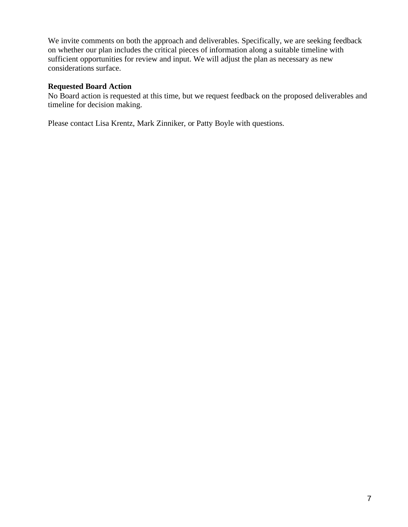We invite comments on both the approach and deliverables. Specifically, we are seeking feedback on whether our plan includes the critical pieces of information along a suitable timeline with sufficient opportunities for review and input. We will adjust the plan as necessary as new considerations surface.

# **Requested Board Action**

No Board action is requested at this time, but we request feedback on the proposed deliverables and timeline for decision making.

Please contact Lisa Krentz, Mark Zinniker, or Patty Boyle with questions.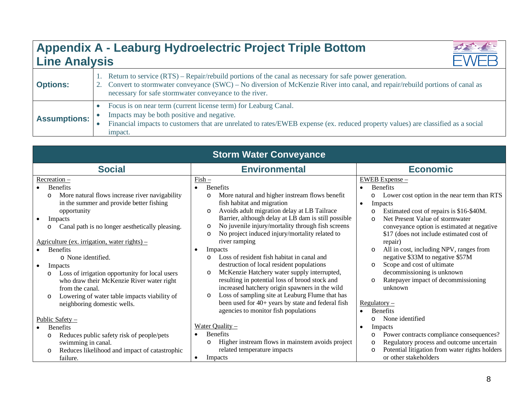# **Appendix A - Leaburg Hydroelectric Project Triple Bottom Line Analysis**



| <b>Storm Water Conveyance</b>                                                                                                                                                                                                                                                                                                                                                                                                                                                                             |                                                                                                                                                                                                                                                                                                                                                                                                                                                                                                                                                                                                                                                                                                                                               |                                                                                                                                                                                                                                                                                                                                                                                                                                                                                                                                                                              |  |  |  |  |
|-----------------------------------------------------------------------------------------------------------------------------------------------------------------------------------------------------------------------------------------------------------------------------------------------------------------------------------------------------------------------------------------------------------------------------------------------------------------------------------------------------------|-----------------------------------------------------------------------------------------------------------------------------------------------------------------------------------------------------------------------------------------------------------------------------------------------------------------------------------------------------------------------------------------------------------------------------------------------------------------------------------------------------------------------------------------------------------------------------------------------------------------------------------------------------------------------------------------------------------------------------------------------|------------------------------------------------------------------------------------------------------------------------------------------------------------------------------------------------------------------------------------------------------------------------------------------------------------------------------------------------------------------------------------------------------------------------------------------------------------------------------------------------------------------------------------------------------------------------------|--|--|--|--|
| <b>Social</b>                                                                                                                                                                                                                                                                                                                                                                                                                                                                                             | <b>Environmental</b>                                                                                                                                                                                                                                                                                                                                                                                                                                                                                                                                                                                                                                                                                                                          | <b>Economic</b>                                                                                                                                                                                                                                                                                                                                                                                                                                                                                                                                                              |  |  |  |  |
| Receration –<br><b>Benefits</b><br>More natural flows increase river navigability<br>$\circ$<br>in the summer and provide better fishing<br>opportunity<br>Impacts<br>Canal path is no longer aesthetically pleasing.<br>$A$ griculture (ex. irrigation, water rights) –<br><b>Benefits</b><br>o None identified.<br>Impacts<br>Loss of irrigation opportunity for local users<br>who draw their McKenzie River water right<br>from the canal.<br>Lowering of water table impacts viability of<br>$\circ$ | $Fish$<br><b>Benefits</b><br>More natural and higher instream flows benefit<br>$\circ$<br>fish habitat and migration<br>Avoids adult migration delay at LB Tailrace<br>$\circ$<br>Barrier, although delay at LB dam is still possible<br>No juvenile injury/mortality through fish screens<br>$\circ$<br>No project induced injury/mortality related to<br>$\circ$<br>river ramping<br>Impacts<br>$\bullet$<br>Loss of resident fish habitat in canal and<br>$\circ$<br>destruction of local resident populations<br>McKenzie Hatchery water supply interrupted,<br>$\circ$<br>resulting in potential loss of brood stock and<br>increased hatchery origin spawners in the wild<br>Loss of sampling site at Leaburg Flume that has<br>$\circ$ | EWEB Expense -<br><b>Benefits</b><br>$\bullet$<br>Lower cost option in the near term than RTS<br>$\circ$<br>Impacts<br>$\bullet$<br>Estimated cost of repairs is \$16-\$40M.<br>$\circ$<br>Net Present Value of stormwater<br>$\Omega$<br>conveyance option is estimated at negative<br>\$17 (does not include estimated cost of<br>repair)<br>All in cost, including NPV, ranges from<br>$\Omega$<br>negative \$33M to negative \$57M<br>Scope and cost of ultimate<br>$\Omega$<br>decommissioning is unknown<br>Ratepayer impact of decommissioning<br>$\Omega$<br>unknown |  |  |  |  |
| neighboring domestic wells.<br>Public Safety -                                                                                                                                                                                                                                                                                                                                                                                                                                                            | been used for 40+ years by state and federal fish<br>agencies to monitor fish populations                                                                                                                                                                                                                                                                                                                                                                                                                                                                                                                                                                                                                                                     | Regulatory –<br><b>Benefits</b><br>None identified<br>O                                                                                                                                                                                                                                                                                                                                                                                                                                                                                                                      |  |  |  |  |
| <b>Benefits</b>                                                                                                                                                                                                                                                                                                                                                                                                                                                                                           | Water Quality $-$                                                                                                                                                                                                                                                                                                                                                                                                                                                                                                                                                                                                                                                                                                                             | Impacts<br>$\bullet$                                                                                                                                                                                                                                                                                                                                                                                                                                                                                                                                                         |  |  |  |  |
| Reduces public safety risk of people/pets<br>$\circ$<br>swimming in canal.<br>Reduces likelihood and impact of catastrophic<br>$\circ$<br>failure.                                                                                                                                                                                                                                                                                                                                                        | <b>Benefits</b><br>Higher instream flows in mainstem avoids project<br>$\circ$<br>related temperature impacts<br>Impacts                                                                                                                                                                                                                                                                                                                                                                                                                                                                                                                                                                                                                      | Power contracts compliance consequences?<br>O<br>Regulatory process and outcome uncertain<br>$\circ$<br>Potential litigation from water rights holders<br>$\circ$<br>or other stakeholders                                                                                                                                                                                                                                                                                                                                                                                   |  |  |  |  |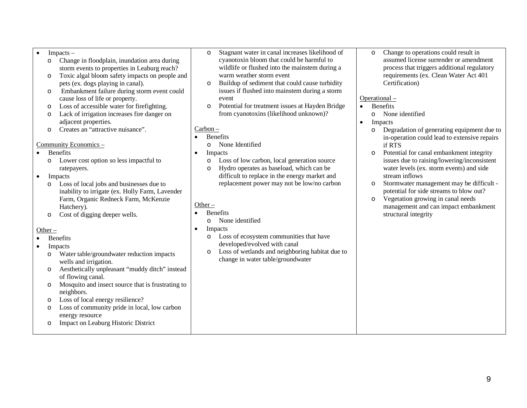#### $Impacks -$

- o Change in floodplain, inundation area during storm events to properties in Leaburg reach?
- o Toxic algal bloom safety impacts on people and pets (ex. dogs playing in canal).
- o Embankment failure during storm event could cause loss of life or property.
- o Loss of accessible water for firefighting.
- o Lack of irrigation increases fire danger on adjacent properties.
- o Creates an "attractive nuisance".

#### Community Economics –

- Benefits
	- o Lower cost option so less impactful to ratepayers.
- Impacts
	- o Loss of local jobs and businesses due to inability to irrigate (ex. Holly Farm, Lavender Farm, Organic Redneck Farm, McKenzie Hatchery).
	- o Cost of digging deeper wells.

## Other –

- **Benefits**
- Impacts
	- o Water table/groundwater reduction impacts wells and irrigation.
	- o Aesthetically unpleasant "muddy ditch" instead of flowing canal.
	- o Mosquito and insect source that is frustrating to neighbors.
	- o Loss of local energy resilience?
	- o Loss of community pride in local, low carbon energy resource
	- o Impact on Leaburg Historic District
- o Stagnant water in canal increases likelihood of cyanotoxin bloom that could be harmful to wildlife or flushed into the mainstem during a warm weather storm event
- o Buildup of sediment that could cause turbidity issues if flushed into mainstem during a storm event
- o Potential for treatment issues at Hayden Bridge from cyanotoxins (likelihood unknown)?

### Carbon –

- Benefits
	- o None Identified
- Impacts
	- o Loss of low carbon, local generation source
	- Hydro operates as baseload, which can be difficult to replace in the energy market and replacement power may not be low/no carbon

# Other –

- Benefits
	- o None identified
- Impacts
	- o Loss of ecosystem communities that have developed/evolved with canal
	- o Loss of wetlands and neighboring habitat due to change in water table/groundwater

o Change to operations could result in assumed license surrender or amendment process that triggers additional regulatory requirements (ex. Clean Water Act 401 Certification)

### Operational –

- Benefits
	- o None identified
- Impacts
	- o Degradation of generating equipment due to in-operation could lead to extensive repairs if RTS
	- o Potential for canal embankment integrity issues due to raising/lowering/inconsistent water levels (ex. storm events) and side stream inflows
	- o Stormwater management may be difficult potential for side streams to blow out?
	- o Vegetation growing in canal needs management and can impact embankment structural integrity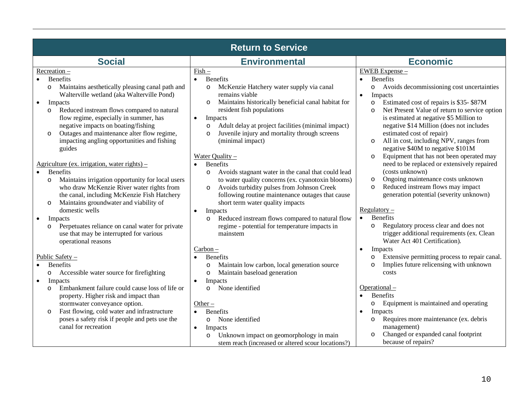| <b>Return to Service</b>                                                                                                                                                                                                                                                                                                                                                                                                                                  |                                                                                                                                                                                                                                                                                                                                                                                                                                                                             |                                                                                                                                                                                                                                                                                                                                                                                                                                                        |  |  |  |  |  |
|-----------------------------------------------------------------------------------------------------------------------------------------------------------------------------------------------------------------------------------------------------------------------------------------------------------------------------------------------------------------------------------------------------------------------------------------------------------|-----------------------------------------------------------------------------------------------------------------------------------------------------------------------------------------------------------------------------------------------------------------------------------------------------------------------------------------------------------------------------------------------------------------------------------------------------------------------------|--------------------------------------------------------------------------------------------------------------------------------------------------------------------------------------------------------------------------------------------------------------------------------------------------------------------------------------------------------------------------------------------------------------------------------------------------------|--|--|--|--|--|
| <b>Social</b>                                                                                                                                                                                                                                                                                                                                                                                                                                             | <b>Environmental</b>                                                                                                                                                                                                                                                                                                                                                                                                                                                        | <b>Economic</b>                                                                                                                                                                                                                                                                                                                                                                                                                                        |  |  |  |  |  |
| Recreation -<br><b>Benefits</b><br>Maintains aesthetically pleasing canal path and<br>$\circ$<br>Walterville wetland (aka Walterville Pond)<br>Impacts<br>$\bullet$<br>Reduced instream flows compared to natural<br>$\circ$<br>flow regime, especially in summer, has<br>negative impacts on boating/fishing<br>Outages and maintenance alter flow regime,<br>$\circ$<br>impacting angling opportunities and fishing<br>guides                           | $Fish$<br>Benefits<br>McKenzie Hatchery water supply via canal<br>$\circ$<br>remains viable<br>Maintains historically beneficial canal habitat for<br>$\circ$<br>resident fish populations<br>$\bullet$<br>Impacts<br>Adult delay at project facilities (minimal impact)<br>$\circ$<br>Juvenile injury and mortality through screens<br>$\circ$<br>(minimal impact)                                                                                                         | EWEB Expense -<br><b>Benefits</b><br>Avoids decommissioning cost uncertainties<br>$\circ$<br>Impacts<br>$\bullet$<br>Estimated cost of repairs is \$35-\$87M<br>$\circ$<br>Net Present Value of return to service option<br>$\circ$<br>is estimated at negative \$5 Million to<br>negative \$14 Million (does not includes<br>estimated cost of repair)<br>All in cost, including NPV, ranges from<br>$\circ$<br>negative \$40M to negative \$101M     |  |  |  |  |  |
| Agriculture (ex. irrigation, water rights) –<br><b>Benefits</b><br>Maintains irrigation opportunity for local users<br>$\circ$<br>who draw McKenzie River water rights from<br>the canal, including McKenzie Fish Hatchery<br>Maintains groundwater and viability of<br>$\circ$<br>domestic wells<br>Impacts<br>$\bullet$<br>Perpetuates reliance on canal water for private<br>$\circ$<br>use that may be interrupted for various<br>operational reasons | Water Quality $-$<br><b>Benefits</b><br>$\bullet$<br>Avoids stagnant water in the canal that could lead<br>$\circ$<br>to water quality concerns (ex. cyanotoxin blooms)<br>Avoids turbidity pulses from Johnson Creek<br>$\circ$<br>following routine maintenance outages that cause<br>short term water quality impacts<br>Impacts<br>$\bullet$<br>Reduced instream flows compared to natural flow<br>$\circ$<br>regime - potential for temperature impacts in<br>mainstem | Equipment that has not been operated may<br>$\circ$<br>need to be replaced or extensively repaired<br>(costs unknown)<br>Ongoing maintenance costs unknown<br>$\circ$<br>Reduced instream flows may impact<br>$\circ$<br>generation potential (severity unknown)<br>Regulator<br>Benefits<br>$\bullet$<br>Regulatory process clear and does not<br>$\circ$<br>trigger additional requirements (ex. Clean<br>Water Act 401 Certification).<br>$\bullet$ |  |  |  |  |  |
| Public Safety -<br><b>Benefits</b><br>Accessible water source for firefighting<br>$\circ$<br>Impacts<br>$\bullet$<br>Embankment failure could cause loss of life or<br>$\circ$<br>property. Higher risk and impact than<br>stormwater conveyance option.<br>Fast flowing, cold water and infrastructure<br>$\circ$<br>poses a safety risk if people and pets use the<br>canal for recreation                                                              | $Carbon -$<br><b>Benefits</b><br>$\bullet$<br>Maintain low carbon, local generation source<br>$\circ$<br>Maintain baseload generation<br>$\circ$<br>Impacts<br>$\bullet$<br>None identified<br>$\circ$<br>Other $-$<br><b>Benefits</b><br>$\bullet$<br>None identified<br>$\circ$<br>Impacts<br>$\bullet$<br>Unknown impact on geomorphology in main<br>$\circ$<br>stem reach (increased or altered scour locations?)                                                       | Impacts<br>Extensive permitting process to repair canal.<br>$\circ$<br>Implies future relicensing with unknown<br>$\circ$<br>costs<br>Operational-<br><b>Benefits</b><br>$\bullet$<br>Equipment is maintained and operating<br>$\circ$<br>Impacts<br>$\bullet$<br>Requires more maintenance (ex. debris<br>$\circ$<br>management)<br>Changed or expanded canal footprint<br>$\circ$<br>because of repairs?                                             |  |  |  |  |  |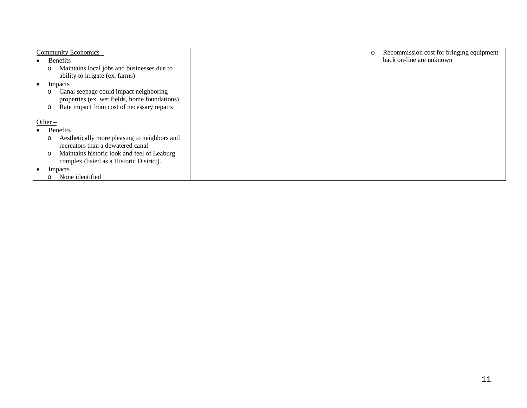| Community Economics -                                                                                                                            | Recommission cost for bringing equipment<br>$\circ$ |
|--------------------------------------------------------------------------------------------------------------------------------------------------|-----------------------------------------------------|
| <b>Benefits</b>                                                                                                                                  | back on-line are unknown                            |
| Maintains local jobs and businesses due to<br>$\circ$<br>ability to irrigate (ex. farms)                                                         |                                                     |
| Impacts<br>$\bullet$                                                                                                                             |                                                     |
| Canal seepage could impact neighboring<br>O<br>properties (ex. wet fields, home foundations)<br>Rate impact from cost of necessary repairs<br>O  |                                                     |
| Other $-$                                                                                                                                        |                                                     |
| <b>Benefits</b>                                                                                                                                  |                                                     |
| Aesthetically more pleasing to neighbors and<br>O<br>recreators than a dewatered canal<br>Maintains historic look and feel of Leaburg<br>$\circ$ |                                                     |
| complex (listed as a Historic District).                                                                                                         |                                                     |
| Impacts                                                                                                                                          |                                                     |
| None identified<br>$\circ$                                                                                                                       |                                                     |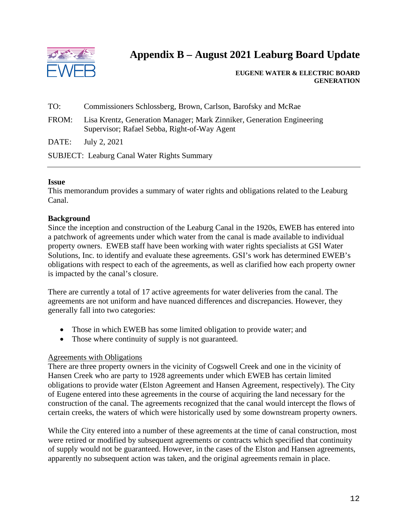

# **Appendix B – August 2021 Leaburg Board Update**

 **EUGENE WATER & ELECTRIC BOARD GENERATION**

- TO: Commissioners Schlossberg, Brown, Carlson, Barofsky and McRae
- FROM: Lisa Krentz, Generation Manager; Mark Zinniker, Generation Engineering Supervisor; Rafael Sebba, Right-of-Way Agent

DATE: July 2, 2021

SUBJECT: Leaburg Canal Water Rights Summary

#### **Issue**

This memorandum provides a summary of water rights and obligations related to the Leaburg Canal.

#### **Background**

Since the inception and construction of the Leaburg Canal in the 1920s, EWEB has entered into a patchwork of agreements under which water from the canal is made available to individual property owners. EWEB staff have been working with water rights specialists at GSI Water Solutions, Inc. to identify and evaluate these agreements. GSI's work has determined EWEB's obligations with respect to each of the agreements, as well as clarified how each property owner is impacted by the canal's closure.

There are currently a total of 17 active agreements for water deliveries from the canal. The agreements are not uniform and have nuanced differences and discrepancies. However, they generally fall into two categories:

- Those in which EWEB has some limited obligation to provide water; and
- Those where continuity of supply is not guaranteed.

#### Agreements with Obligations

There are three property owners in the vicinity of Cogswell Creek and one in the vicinity of Hansen Creek who are party to 1928 agreements under which EWEB has certain limited obligations to provide water (Elston Agreement and Hansen Agreement, respectively). The City of Eugene entered into these agreements in the course of acquiring the land necessary for the construction of the canal. The agreements recognized that the canal would intercept the flows of certain creeks, the waters of which were historically used by some downstream property owners.

While the City entered into a number of these agreements at the time of canal construction, most were retired or modified by subsequent agreements or contracts which specified that continuity of supply would not be guaranteed. However, in the cases of the Elston and Hansen agreements, apparently no subsequent action was taken, and the original agreements remain in place.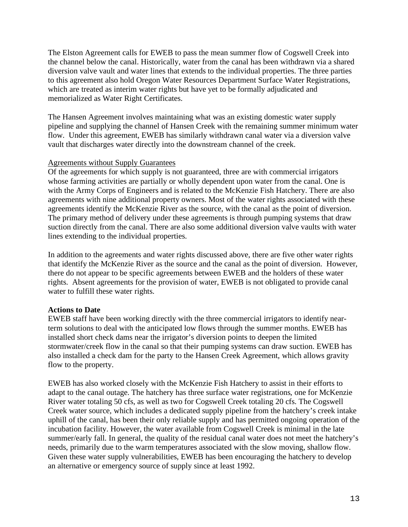The Elston Agreement calls for EWEB to pass the mean summer flow of Cogswell Creek into the channel below the canal. Historically, water from the canal has been withdrawn via a shared diversion valve vault and water lines that extends to the individual properties. The three parties to this agreement also hold Oregon Water Resources Department Surface Water Registrations, which are treated as interim water rights but have yet to be formally adjudicated and memorialized as Water Right Certificates.

The Hansen Agreement involves maintaining what was an existing domestic water supply pipeline and supplying the channel of Hansen Creek with the remaining summer minimum water flow. Under this agreement, EWEB has similarly withdrawn canal water via a diversion valve vault that discharges water directly into the downstream channel of the creek.

# Agreements without Supply Guarantees

Of the agreements for which supply is not guaranteed, three are with commercial irrigators whose farming activities are partially or wholly dependent upon water from the canal. One is with the Army Corps of Engineers and is related to the McKenzie Fish Hatchery. There are also agreements with nine additional property owners. Most of the water rights associated with these agreements identify the McKenzie River as the source, with the canal as the point of diversion. The primary method of delivery under these agreements is through pumping systems that draw suction directly from the canal. There are also some additional diversion valve vaults with water lines extending to the individual properties.

In addition to the agreements and water rights discussed above, there are five other water rights that identify the McKenzie River as the source and the canal as the point of diversion. However, there do not appear to be specific agreements between EWEB and the holders of these water rights. Absent agreements for the provision of water, EWEB is not obligated to provide canal water to fulfill these water rights.

# **Actions to Date**

EWEB staff have been working directly with the three commercial irrigators to identify nearterm solutions to deal with the anticipated low flows through the summer months. EWEB has installed short check dams near the irrigator's diversion points to deepen the limited stormwater/creek flow in the canal so that their pumping systems can draw suction. EWEB has also installed a check dam for the party to the Hansen Creek Agreement, which allows gravity flow to the property.

EWEB has also worked closely with the McKenzie Fish Hatchery to assist in their efforts to adapt to the canal outage. The hatchery has three surface water registrations, one for McKenzie River water totaling 50 cfs, as well as two for Cogswell Creek totaling 20 cfs. The Cogswell Creek water source, which includes a dedicated supply pipeline from the hatchery's creek intake uphill of the canal, has been their only reliable supply and has permitted ongoing operation of the incubation facility. However, the water available from Cogswell Creek is minimal in the late summer/early fall. In general, the quality of the residual canal water does not meet the hatchery's needs, primarily due to the warm temperatures associated with the slow moving, shallow flow. Given these water supply vulnerabilities, EWEB has been encouraging the hatchery to develop an alternative or emergency source of supply since at least 1992.